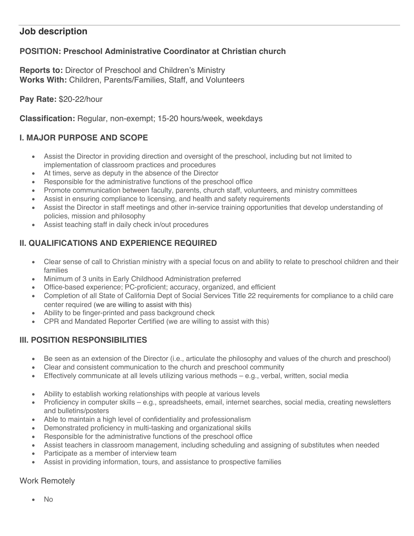# **Job description**

## **POSITION: Preschool Administrative Coordinator at Christian church**

**Reports to:** Director of Preschool and Children's Ministry **Works With:** Children, Parents/Families, Staff, and Volunteers

#### **Pay Rate:** \$20-22/hour

**Classification:** Regular, non-exempt; 15-20 hours/week, weekdays

### **I. MAJOR PURPOSE AND SCOPE**

- Assist the Director in providing direction and oversight of the preschool, including but not limited to implementation of classroom practices and procedures
- At times, serve as deputy in the absence of the Director
- Responsible for the administrative functions of the preschool office
- Promote communication between faculty, parents, church staff, volunteers, and ministry committees
- Assist in ensuring compliance to licensing, and health and safety requirements
- Assist the Director in staff meetings and other in-service training opportunities that develop understanding of policies, mission and philosophy
- Assist teaching staff in daily check in/out procedures

# **II. QUALIFICATIONS AND EXPERIENCE REQUIRED**

- Clear sense of call to Christian ministry with a special focus on and ability to relate to preschool children and their families
- Minimum of 3 units in Early Childhood Administration preferred
- Office-based experience; PC-proficient; accuracy, organized, and efficient
- Completion of all State of California Dept of Social Services Title 22 requirements for compliance to a child care center required (we are willing to assist with this)
- Ability to be finger-printed and pass background check
- CPR and Mandated Reporter Certified (we are willing to assist with this)

### **III. POSITION RESPONSIBILITIES**

- Be seen as an extension of the Director (i.e., articulate the philosophy and values of the church and preschool)
- Clear and consistent communication to the church and preschool community
- Effectively communicate at all levels utilizing various methods e.g., verbal, written, social media
- Ability to establish working relationships with people at various levels
- Proficiency in computer skills e.g., spreadsheets, email, internet searches, social media, creating newsletters and bulletins/posters
- Able to maintain a high level of confidentiality and professionalism
- Demonstrated proficiency in multi-tasking and organizational skills
- Responsible for the administrative functions of the preschool office
- Assist teachers in classroom management, including scheduling and assigning of substitutes when needed
- Participate as a member of interview team
- Assist in providing information, tours, and assistance to prospective families

### Work Remotely

• No